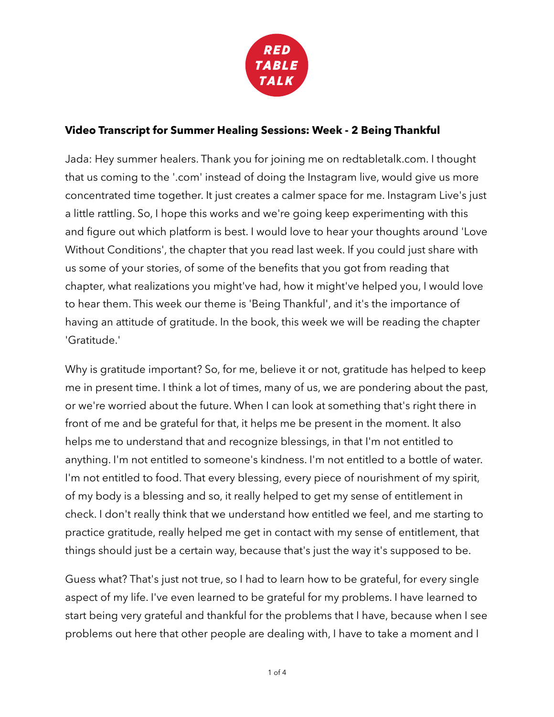

## **Video Transcript for Summer Healing Sessions: Week - 2 Being Thankful**

Jada: Hey summer healers. Thank you for joining me on redtabletalk.com. I thought that us coming to the '.com' instead of doing the Instagram live, would give us more concentrated time together. It just creates a calmer space for me. Instagram Live's just a little rattling. So, I hope this works and we're going keep experimenting with this and figure out which platform is best. I would love to hear your thoughts around 'Love Without Conditions', the chapter that you read last week. If you could just share with us some of your stories, of some of the benefits that you got from reading that chapter, what realizations you might've had, how it might've helped you, I would love to hear them. This week our theme is 'Being Thankful', and it's the importance of having an attitude of gratitude. In the book, this week we will be reading the chapter 'Gratitude.'

Why is gratitude important? So, for me, believe it or not, gratitude has helped to keep me in present time. I think a lot of times, many of us, we are pondering about the past, or we're worried about the future. When I can look at something that's right there in front of me and be grateful for that, it helps me be present in the moment. It also helps me to understand that and recognize blessings, in that I'm not entitled to anything. I'm not entitled to someone's kindness. I'm not entitled to a bottle of water. I'm not entitled to food. That every blessing, every piece of nourishment of my spirit, of my body is a blessing and so, it really helped to get my sense of entitlement in check. I don't really think that we understand how entitled we feel, and me starting to practice gratitude, really helped me get in contact with my sense of entitlement, that things should just be a certain way, because that's just the way it's supposed to be.

Guess what? That's just not true, so I had to learn how to be grateful, for every single aspect of my life. I've even learned to be grateful for my problems. I have learned to start being very grateful and thankful for the problems that I have, because when I see problems out here that other people are dealing with, I have to take a moment and I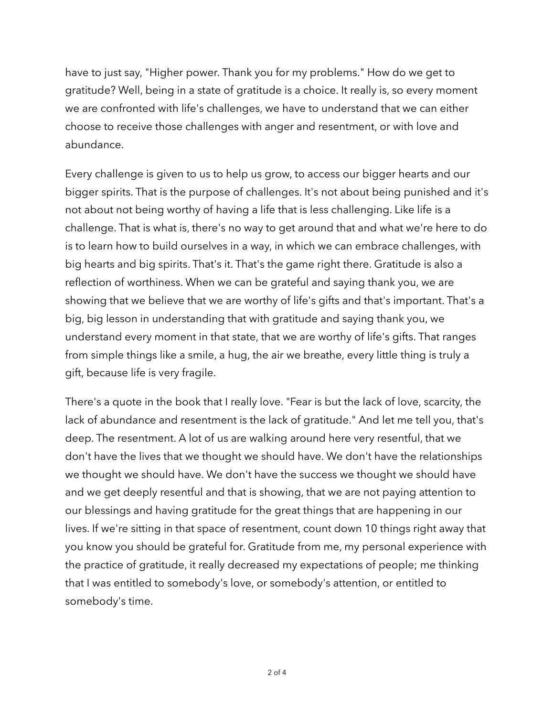have to just say, "Higher power. Thank you for my problems." How do we get to gratitude? Well, being in a state of gratitude is a choice. It really is, so every moment we are confronted with life's challenges, we have to understand that we can either choose to receive those challenges with anger and resentment, or with love and abundance.

Every challenge is given to us to help us grow, to access our bigger hearts and our bigger spirits. That is the purpose of challenges. It's not about being punished and it's not about not being worthy of having a life that is less challenging. Like life is a challenge. That is what is, there's no way to get around that and what we're here to do is to learn how to build ourselves in a way, in which we can embrace challenges, with big hearts and big spirits. That's it. That's the game right there. Gratitude is also a reflection of worthiness. When we can be grateful and saying thank you, we are showing that we believe that we are worthy of life's gifts and that's important. That's a big, big lesson in understanding that with gratitude and saying thank you, we understand every moment in that state, that we are worthy of life's gifts. That ranges from simple things like a smile, a hug, the air we breathe, every little thing is truly a gift, because life is very fragile.

There's a quote in the book that I really love. "Fear is but the lack of love, scarcity, the lack of abundance and resentment is the lack of gratitude." And let me tell you, that's deep. The resentment. A lot of us are walking around here very resentful, that we don't have the lives that we thought we should have. We don't have the relationships we thought we should have. We don't have the success we thought we should have and we get deeply resentful and that is showing, that we are not paying attention to our blessings and having gratitude for the great things that are happening in our lives. If we're sitting in that space of resentment, count down 10 things right away that you know you should be grateful for. Gratitude from me, my personal experience with the practice of gratitude, it really decreased my expectations of people; me thinking that I was entitled to somebody's love, or somebody's attention, or entitled to somebody's time.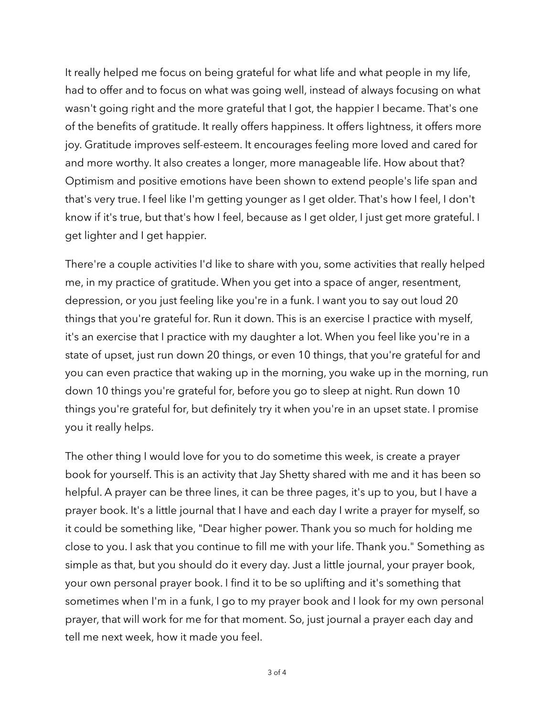It really helped me focus on being grateful for what life and what people in my life, had to offer and to focus on what was going well, instead of always focusing on what wasn't going right and the more grateful that I got, the happier I became. That's one of the benefits of gratitude. It really offers happiness. It offers lightness, it offers more joy. Gratitude improves self-esteem. It encourages feeling more loved and cared for and more worthy. It also creates a longer, more manageable life. How about that? Optimism and positive emotions have been shown to extend people's life span and that's very true. I feel like I'm getting younger as I get older. That's how I feel, I don't know if it's true, but that's how I feel, because as I get older, I just get more grateful. I get lighter and I get happier.

There're a couple activities I'd like to share with you, some activities that really helped me, in my practice of gratitude. When you get into a space of anger, resentment, depression, or you just feeling like you're in a funk. I want you to say out loud 20 things that you're grateful for. Run it down. This is an exercise I practice with myself, it's an exercise that I practice with my daughter a lot. When you feel like you're in a state of upset, just run down 20 things, or even 10 things, that you're grateful for and you can even practice that waking up in the morning, you wake up in the morning, run down 10 things you're grateful for, before you go to sleep at night. Run down 10 things you're grateful for, but definitely try it when you're in an upset state. I promise you it really helps.

The other thing I would love for you to do sometime this week, is create a prayer book for yourself. This is an activity that Jay Shetty shared with me and it has been so helpful. A prayer can be three lines, it can be three pages, it's up to you, but I have a prayer book. It's a little journal that I have and each day I write a prayer for myself, so it could be something like, "Dear higher power. Thank you so much for holding me close to you. I ask that you continue to fill me with your life. Thank you." Something as simple as that, but you should do it every day. Just a little journal, your prayer book, your own personal prayer book. I find it to be so uplifting and it's something that sometimes when I'm in a funk, I go to my prayer book and I look for my own personal prayer, that will work for me for that moment. So, just journal a prayer each day and tell me next week, how it made you feel.